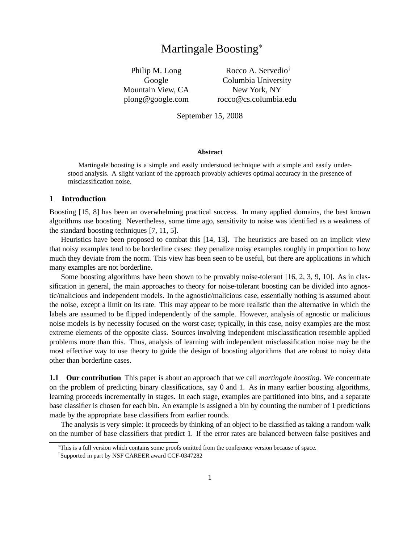# Martingale Boosting<sup>∗</sup>

Philip M. Long Google Mountain View, CA plong@google.com

Rocco A. Servedio† Columbia University New York, NY rocco@cs.columbia.edu

September 15, 2008

#### **Abstract**

Martingale boosting is a simple and easily understood technique with a simple and easily understood analysis. A slight variant of the approach provably achieves optimal accuracy in the presence of misclassification noise.

# **1 Introduction**

Boosting [15, 8] has been an overwhelming practical success. In many applied domains, the best known algorithms use boosting. Nevertheless, some time ago, sensitivity to noise was identified as a weakness of the standard boosting techniques [7, 11, 5].

Heuristics have been proposed to combat this [14, 13]. The heuristics are based on an implicit view that noisy examples tend to be borderline cases: they penalize noisy examples roughly in proportion to how much they deviate from the norm. This view has been seen to be useful, but there are applications in which many examples are not borderline.

Some boosting algorithms have been shown to be provably noise-tolerant [16, 2, 3, 9, 10]. As in classification in general, the main approaches to theory for noise-tolerant boosting can be divided into agnostic/malicious and independent models. In the agnostic/malicious case, essentially nothing is assumed about the noise, except a limit on its rate. This may appear to be more realistic than the alternative in which the labels are assumed to be flipped independently of the sample. However, analysis of agnostic or malicious noise models is by necessity focused on the worst case; typically, in this case, noisy examples are the most extreme elements of the opposite class. Sources involving independent misclassification resemble applied problems more than this. Thus, analysis of learning with independent misclassification noise may be the most effective way to use theory to guide the design of boosting algorithms that are robust to noisy data other than borderline cases.

**1.1 Our contribution** This paper is about an approach that we call *martingale boosting*. We concentrate on the problem of predicting binary classifications, say 0 and 1. As in many earlier boosting algorithms, learning proceeds incrementally in stages. In each stage, examples are partitioned into bins, and a separate base classifier is chosen for each bin. An example is assigned a bin by counting the number of 1 predictions made by the appropriate base classifiers from earlier rounds.

The analysis is very simple: it proceeds by thinking of an object to be classified as taking a random walk on the number of base classifiers that predict 1. If the error rates are balanced between false positives and

<sup>∗</sup>This is a full version which contains some proofs omitted from the conference version because of space.

<sup>†</sup> Supported in part by NSF CAREER award CCF-0347282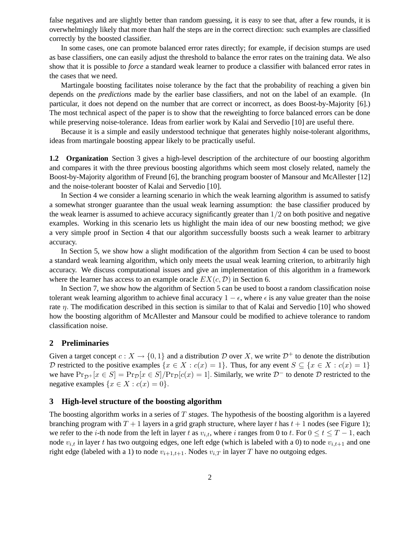false negatives and are slightly better than random guessing, it is easy to see that, after a few rounds, it is overwhelmingly likely that more than half the steps are in the correct direction: such examples are classified correctly by the boosted classifier.

In some cases, one can promote balanced error rates directly; for example, if decision stumps are used as base classifiers, one can easily adjust the threshold to balance the error rates on the training data. We also show that it is possible to *force* a standard weak learner to produce a classifier with balanced error rates in the cases that we need.

Martingale boosting facilitates noise tolerance by the fact that the probability of reaching a given bin depends on the *predictions* made by the earlier base classifiers, and not on the label of an example. (In particular, it does not depend on the number that are correct or incorrect, as does Boost-by-Majority [6].) The most technical aspect of the paper is to show that the reweighting to force balanced errors can be done while preserving noise-tolerance. Ideas from earlier work by Kalai and Servedio [10] are useful there.

Because it is a simple and easily understood technique that generates highly noise-tolerant algorithms, ideas from martingale boosting appear likely to be practically useful.

**1.2 Organization** Section 3 gives a high-level description of the architecture of our boosting algorithm and compares it with the three previous boosting algorithms which seem most closely related, namely the Boost-by-Majority algorithm of Freund [6], the branching program booster of Mansour and McAllester [12] and the noise-tolerant booster of Kalai and Servedio [10].

In Section 4 we consider a learning scenario in which the weak learning algorithm is assumed to satisfy a somewhat stronger guarantee than the usual weak learning assumption: the base classifier produced by the weak learner is assumed to achieve accuracy significantly greater than  $1/2$  on both positive and negative examples. Working in this scenario lets us highlight the main idea of our new boosting method; we give a very simple proof in Section 4 that our algorithm successfully boosts such a weak learner to arbitrary accuracy.

In Section 5, we show how a slight modification of the algorithm from Section 4 can be used to boost a standard weak learning algorithm, which only meets the usual weak learning criterion, to arbitrarily high accuracy. We discuss computational issues and give an implementation of this algorithm in a framework where the learner has access to an example oracle  $EX(c, \mathcal{D})$  in Section 6.

In Section 7, we show how the algorithm of Section 5 can be used to boost a random classification noise tolerant weak learning algorithm to achieve final accuracy  $1 - \epsilon$ , where  $\epsilon$  is any value greater than the noise rate  $\eta$ . The modification described in this section is similar to that of Kalai and Servedio [10] who showed how the boosting algorithm of McAllester and Mansour could be modified to achieve tolerance to random classification noise.

## **2 Preliminaries**

Given a target concept  $c: X \to \{0, 1\}$  and a distribution D over X, we write  $\mathcal{D}^+$  to denote the distribution D restricted to the positive examples  $\{x \in X : c(x) = 1\}$ . Thus, for any event  $S \subseteq \{x \in X : c(x) = 1\}$ we have  $Pr_{\mathcal{D}^+}[x \in S] = Pr_{\mathcal{D}}[x \in S]/Pr_{\mathcal{D}}[c(x) = 1]$ . Similarly, we write  $\mathcal{D}^-$  to denote  $\mathcal D$  restricted to the negative examples  $\{x \in X : c(x) = 0\}.$ 

## **3 High-level structure of the boosting algorithm**

The boosting algorithm works in a series of T *stages*. The hypothesis of the boosting algorithm is a layered branching program with  $T + 1$  layers in a grid graph structure, where layer t has  $t + 1$  nodes (see Figure 1); we refer to the *i*-th node from the left in layer t as  $v_{i,t}$ , where i ranges from 0 to t. For  $0 \le t \le T - 1$ , each node  $v_{i,t}$  in layer t has two outgoing edges, one left edge (which is labeled with a 0) to node  $v_{i,t+1}$  and one right edge (labeled with a 1) to node  $v_{i+1,t+1}$ . Nodes  $v_{i,T}$  in layer T have no outgoing edges.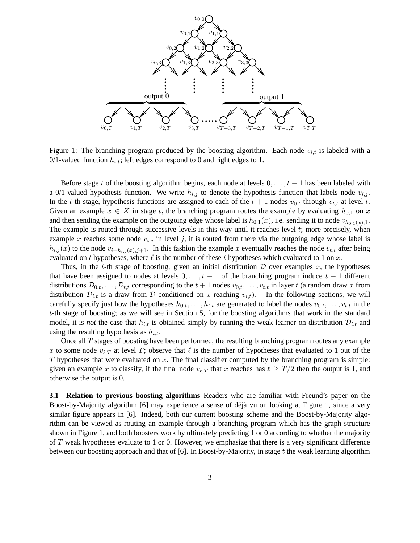

Figure 1: The branching program produced by the boosting algorithm. Each node  $v_{i,t}$  is labeled with a 0/1-valued function  $h_{i,t}$ ; left edges correspond to 0 and right edges to 1.

Before stage t of the boosting algorithm begins, each node at levels  $0, \ldots, t - 1$  has been labeled with a 0/1-valued hypothesis function. We write  $h_{i,j}$  to denote the hypothesis function that labels node  $v_{i,j}$ . In the t-th stage, hypothesis functions are assigned to each of the  $t + 1$  nodes  $v_{0,t}$  through  $v_{t,t}$  at level t. Given an example  $x \in X$  in stage t, the branching program routes the example by evaluating  $h_{0,1}$  on x and then sending the example on the outgoing edge whose label is  $h_{0,1}(x)$ , i.e. sending it to node  $v_{h_{0,1}(x),1}$ . The example is routed through successive levels in this way until it reaches level t; more precisely, when example x reaches some node  $v_{i,j}$  in level j, it is routed from there via the outgoing edge whose label is  $h_{i,j}(x)$  to the node  $v_{i+h_{i,j}(x),j+1}$ . In this fashion the example x eventually reaches the node  $v_{\ell,t}$  after being evaluated on t hypotheses, where  $\ell$  is the number of these t hypotheses which evaluated to 1 on x.

Thus, in the t-th stage of boosting, given an initial distribution  $D$  over examples x, the hypotheses that have been assigned to nodes at levels  $0, \ldots, t-1$  of the branching program induce  $t + 1$  different distributions  $\mathcal{D}_{0,t},\ldots,\mathcal{D}_{t,t}$  corresponding to the  $t+1$  nodes  $v_{0,t},\ldots,v_{t,t}$  in layer t (a random draw x from distribution  $\mathcal{D}_{i,t}$  is a draw from  $\mathcal D$  conditioned on x reaching  $v_{i,t}$ ). In the following sections, we will carefully specify just how the hypotheses  $h_{0,t}, \ldots, h_{t,t}$  are generated to label the nodes  $v_{0,t}, \ldots, v_{t,t}$  in the t-th stage of boosting; as we will see in Section 5, for the boosting algorithms that work in the standard model, it is *not* the case that  $h_{i,t}$  is obtained simply by running the weak learner on distribution  $\mathcal{D}_{i,t}$  and using the resulting hypothesis as  $h_{i,t}$ .

Once all  $T$  stages of boosting have been performed, the resulting branching program routes any example x to some node  $v_{\ell,T}$  at level T; observe that  $\ell$  is the number of hypotheses that evaluated to 1 out of the  $T$  hypotheses that were evaluated on  $x$ . The final classifier computed by the branching program is simple: given an example x to classify, if the final node  $v_{\ell,T}$  that x reaches has  $\ell \geq T/2$  then the output is 1, and otherwise the output is 0.

**3.1 Relation to previous boosting algorithms** Readers who are familiar with Freund's paper on the Boost-by-Majority algorithm [6] may experience a sense of déjà vu on looking at Figure 1, since a very similar figure appears in [6]. Indeed, both our current boosting scheme and the Boost-by-Majority algorithm can be viewed as routing an example through a branching program which has the graph structure shown in Figure 1, and both boosters work by ultimately predicting 1 or 0 according to whether the majority of T weak hypotheses evaluate to 1 or 0. However, we emphasize that there is a very significant difference between our boosting approach and that of [6]. In Boost-by-Majority, in stage t the weak learning algorithm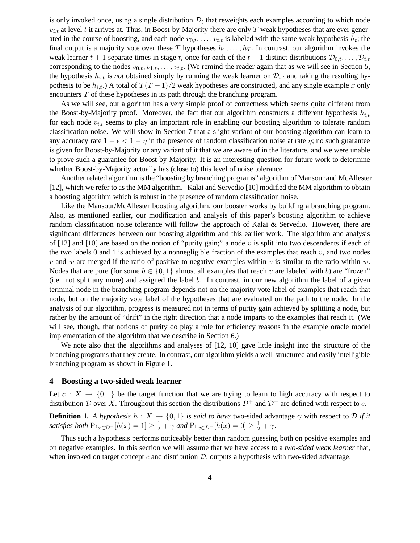is only invoked once, using a single distribution  $\mathcal{D}_t$  that reweights each examples according to which node  $v_{i,t}$  at level t it arrives at. Thus, in Boost-by-Majority there are only T weak hypotheses that are ever generated in the course of boosting, and each node  $v_{0,t}, \ldots, v_{t,t}$  is labeled with the same weak hypothesis  $h_t$ ; the final output is a majority vote over these T hypotheses  $h_1, \ldots, h_T$ . In contrast, our algorithm invokes the weak learner  $t + 1$  separate times in stage t, once for each of the  $t + 1$  distinct distributions  $\mathcal{D}_{0,t}, \ldots, \mathcal{D}_{t,t}$ corresponding to the nodes  $v_{0,t}, v_{1,t}, \ldots, v_{t,t}$ . (We remind the reader again that as we will see in Section 5, the hypothesis  $h_{i,t}$  is *not* obtained simply by running the weak learner on  $\mathcal{D}_{i,t}$  and taking the resulting hypothesis to be  $h_{i,t}$ .) A total of  $T(T+1)/2$  weak hypotheses are constructed, and any single example x only encounters T of these hypotheses in its path through the branching program.

As we will see, our algorithm has a very simple proof of correctness which seems quite different from the Boost-by-Majority proof. Moreover, the fact that our algorithm constructs a different hypothesis  $h_{i,t}$ for each node  $v_{i,t}$  seems to play an important role in enabling our boosting algorithm to tolerate random classification noise. We will show in Section 7 that a slight variant of our boosting algorithm can learn to any accuracy rate  $1 - \epsilon < 1 - \eta$  in the presence of random classification noise at rate  $\eta$ ; no such guarantee is given for Boost-by-Majority or any variant of it that we are aware of in the literature, and we were unable to prove such a guarantee for Boost-by-Majority. It is an interesting question for future work to determine whether Boost-by-Majority actually has (close to) this level of noise tolerance.

Another related algorithm is the "boosting by branching programs" algorithm of Mansour and McAllester [12], which we refer to as the MM algorithm. Kalai and Servedio [10] modified the MM algorithm to obtain a boosting algorithm which is robust in the presence of random classification noise.

Like the Mansour/McAllester boosting algorithm, our booster works by building a branching program. Also, as mentioned earlier, our modification and analysis of this paper's boosting algorithm to achieve random classification noise tolerance will follow the approach of Kalai & Servedio. However, there are significant differences between our boosting algorithm and this earlier work. The algorithm and analysis of [12] and [10] are based on the notion of "purity gain;" a node v is split into two descendents if each of the two labels 0 and 1 is achieved by a nonnegligible fraction of the examples that reach  $v$ , and two nodes v and w are merged if the ratio of positive to negative examples within v is similar to the ratio within w. Nodes that are pure (for some  $b \in \{0, 1\}$  almost all examples that reach v are labeled with b) are "frozen" (i.e. not split any more) and assigned the label b. In contrast, in our new algorithm the label of a given terminal node in the branching program depends not on the majority vote label of examples that reach that node, but on the majority vote label of the hypotheses that are evaluated on the path to the node. In the analysis of our algorithm, progress is measured not in terms of purity gain achieved by splitting a node, but rather by the amount of "drift" in the right direction that a node imparts to the examples that reach it. (We will see, though, that notions of purity do play a role for efficiency reasons in the example oracle model implementation of the algorithm that we describe in Section 6.)

We note also that the algorithms and analyses of [12, 10] gave little insight into the structure of the branching programs that they create. In contrast, our algorithm yields a well-structured and easily intelligible branching program as shown in Figure 1.

# **4 Boosting a two-sided weak learner**

Let  $c: X \to \{0,1\}$  be the target function that we are trying to learn to high accuracy with respect to distribution D over X. Throughout this section the distributions  $\mathcal{D}^+$  and  $\mathcal{D}^-$  are defined with respect to c.

**Definition 1.** *A hypothesis*  $h: X \to \{0, 1\}$  *is said to have* two-sided advantage  $\gamma$  with respect to D *if it satisfies both*  $Pr_{x \in \mathcal{D}^+}[h(x) = 1] \ge \frac{1}{2} + \gamma$  *and*  $Pr_{x \in \mathcal{D}^-}[h(x) = 0] \ge \frac{1}{2} + \gamma$ .

Thus such a hypothesis performs noticeably better than random guessing both on positive examples and on negative examples. In this section we will assume that we have access to a *two-sided weak learner* that, when invoked on target concept c and distribution  $\mathcal{D}$ , outputs a hypothesis with two-sided advantage.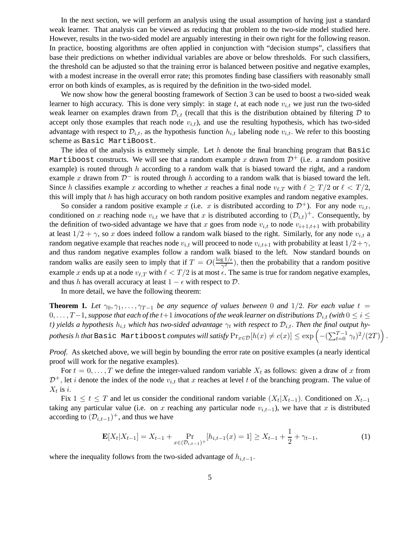In the next section, we will perform an analysis using the usual assumption of having just a standard weak learner. That analysis can be viewed as reducing that problem to the two-side model studied here. However, results in the two-sided model are arguably interesting in their own right for the following reason. In practice, boosting algorithms are often applied in conjunction with "decision stumps", classifiers that base their predictions on whether individual variables are above or below thresholds. For such classifiers, the threshold can be adjusted so that the training error is balanced between positive and negative examples, with a modest increase in the overall error rate; this promotes finding base classifiers with reasonably small error on both kinds of examples, as is required by the definition in the two-sided model.

We now show how the general boosting framework of Section 3 can be used to boost a two-sided weak learner to high accuracy. This is done very simply: in stage  $t$ , at each node  $v_{i,t}$  we just run the two-sided weak learner on examples drawn from  $\mathcal{D}_{i,t}$  (recall that this is the distribution obtained by filtering D to accept only those examples that reach node  $v_{i,t}$ ), and use the resulting hypothesis, which has two-sided advantage with respect to  $\mathcal{D}_{i,t}$ , as the hypothesis function  $h_{i,t}$  labeling node  $v_{i,t}$ . We refer to this boosting scheme as Basic MartiBoost.

The idea of the analysis is extremely simple. Let  $h$  denote the final branching program that Basic Martiboost constructs. We will see that a random example x drawn from  $\mathcal{D}^+$  (i.e. a random positive example) is routed through  $h$  according to a random walk that is biased toward the right, and a random example x drawn from  $\mathcal{D}^-$  is routed through h according to a random walk that is biased toward the left. Since h classifies example x according to whether x reaches a final node  $v_{\ell,T}$  with  $\ell \geq T/2$  or  $\ell < T/2$ , this will imply that  $h$  has high accuracy on both random positive examples and random negative examples.

So consider a random positive example x (i.e. x is distributed according to  $\mathcal{D}^+$ ). For any node  $v_{i,t}$ , conditioned on x reaching node  $v_{i,t}$  we have that x is distributed according to  $(\mathcal{D}_{i,t})^+$ . Consequently, by the definition of two-sided advantage we have that x goes from node  $v_{i,t}$  to node  $v_{i+1,t+1}$  with probability at least  $1/2 + \gamma$ , so x does indeed follow a random walk biased to the right. Similarly, for any node  $v_{i,t}$  a random negative example that reaches node  $v_{i,t}$  will proceed to node  $v_{i,t+1}$  with probability at least  $1/2+\gamma$ , and thus random negative examples follow a random walk biased to the left. Now standard bounds on random walks are easily seen to imply that if  $T = O(\frac{\log 1/\epsilon}{\gamma^2})$  $(\frac{g_1}{\gamma^2})$ , then the probability that a random positive example x ends up at a node  $v_{\ell,T}$  with  $\ell < T/2$  is at most  $\epsilon$ . The same is true for random negative examples, and thus h has overall accuracy at least  $1 - \epsilon$  with respect to  $\mathcal{D}$ .

In more detail, we have the following theorem:

**Theorem 1.** Let  $\gamma_0, \gamma_1, \ldots, \gamma_{T-1}$  be any sequence of values between 0 and 1/2. For each value  $t =$ 0, . . . , T – 1, suppose that each of the t+1 *invocations of the weak learner on distributions*  $D_{i,t}$  *(with*  $0 \le i \le$ t) yields a hypothesis  $h_{i,t}$  which has two-sided advantage  $\gamma_t$  with respect to  $\mathcal{D}_{i,t}$ . Then the final output hy- $\textit{pothesis}\ h\ \textit{that} \ \texttt{Basic\ Martibosst}\ \textit{computes}\ \textit{will}\ \textit{satisfy}\ \Pr_{x\in\mathcal{D}}[h(x)\neq c(x)]\leq \exp\left(-(\sum_{t=0}^{T-1}\gamma_t)^2/(2T)\right).$ 

*Proof.* As sketched above, we will begin by bounding the error rate on positive examples (a nearly identical proof will work for the negative examples).

For  $t = 0, \ldots, T$  we define the integer-valued random variable  $X_t$  as follows: given a draw of x from  $\mathcal{D}^+$ , let *i* denote the index of the node  $v_{i,t}$  that x reaches at level t of the branching program. The value of  $X_t$  is *i*.

Fix  $1 \le t \le T$  and let us consider the conditional random variable  $(X_t | X_{t-1})$ . Conditioned on  $X_{t-1}$ taking any particular value (i.e. on x reaching any particular node  $v_{i,t-1}$ ), we have that x is distributed according to  $(\mathcal{D}_{i,t-1})^+$ , and thus we have

$$
\mathbf{E}[X_t|X_{t-1}] = X_{t-1} + \Pr_{x \in (\mathcal{D}_{i,t-1})^+}[h_{i,t-1}(x) = 1] \ge X_{t-1} + \frac{1}{2} + \gamma_{t-1},\tag{1}
$$

where the inequality follows from the two-sided advantage of  $h_{i,t-1}$ .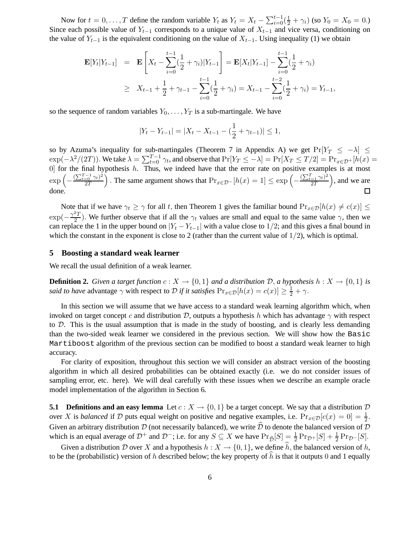Now for  $t = 0, ..., T$  define the random variable  $Y_t$  as  $Y_t = X_t - \sum_{i=0}^{t-1} (\frac{1}{2} + \gamma_i)$  (so  $Y_0 = X_0 = 0$ .) Since each possible value of  $Y_{t-1}$  corresponds to a unique value of  $X_{t-1}$  and vice versa, conditioning on the value of  $Y_{t-1}$  is the equivalent conditioning on the value of  $X_{t-1}$ . Using inequality (1) we obtain

$$
\mathbf{E}[Y_t|Y_{t-1}] = \mathbf{E}\left[X_t - \sum_{i=0}^{t-1} \left(\frac{1}{2} + \gamma_i\right)|Y_{t-1}\right] = \mathbf{E}[X_t|Y_{t-1}] - \sum_{i=0}^{t-1} \left(\frac{1}{2} + \gamma_i\right)
$$
  
\n
$$
\geq X_{t-1} + \frac{1}{2} + \gamma_{t-1} - \sum_{i=0}^{t-1} \left(\frac{1}{2} + \gamma_i\right) = X_{t-1} - \sum_{i=0}^{t-2} \left(\frac{1}{2} + \gamma_i\right) = Y_{t-1},
$$

so the sequence of random variables  $Y_0, \ldots, Y_T$  is a sub-martingale. We have

$$
|Y_t - Y_{t-1}| = |X_t - X_{t-1} - (\frac{1}{2} + \gamma_{t-1})| \le 1,
$$

so by Azuma's inequality for sub-martingales (Theorem 7 in Appendix A) we get  $Pr[Y_T \le -\lambda]$  $\exp(-\lambda^2/(2T))$ . We take  $\lambda = \sum_{t=0}^{T-1} \gamma_t$ , and observe that  $\Pr[Y_T \le -\lambda] = \Pr[X_T \le T/2] = \Pr_{x \in \mathcal{D}^+}[h(x) =$  $[0]$  for the final hypothesis h. Thus, we indeed have that the error rate on positive examples is at most  $\exp\left(-\frac{(\sum_{t=0}^{T-1}\gamma_t)^2}{2T}\right)$ ). The same argument shows that  $Pr_{x \in \mathcal{D}^-}[h(x) = 1] \leq \exp\left(-\frac{(\sum_{t=1}^T \gamma_t)^2}{2T}\right)$  , and we are 2T 2T done. □

Note that if we have  $\gamma_t \geq \gamma$  for all t, then Theorem 1 gives the familiar bound  $\Pr_{x \in \mathcal{D}}[h(x) \neq c(x)] \leq$  $\exp(-\frac{\gamma^2 T}{2})$  $\frac{2I}{2}$ ). We further observe that if all the  $\gamma_t$  values are small and equal to the same value  $\gamma$ , then we can replace the 1 in the upper bound on  $|Y_t - Y_{t-1}|$  with a value close to 1/2; and this gives a final bound in which the constant in the exponent is close to 2 (rather than the current value of  $1/2$ ), which is optimal.

## **5 Boosting a standard weak learner**

We recall the usual definition of a weak learner.

**Definition 2.** *Given a target function*  $c: X \to \{0,1\}$  *and a distribution*  $D$ *, a hypothesis*  $h: X \to \{0,1\}$  *is said to have* advantage  $\gamma$  with respect to  $\mathcal D$  *if it satisfies*  $Pr_{x \in \mathcal D}[h(x) = c(x)] \ge \frac{1}{2} + \gamma$ .

In this section we will assume that we have access to a standard weak learning algorithm which, when invoked on target concept c and distribution D, outputs a hypothesis h which has advantage  $\gamma$  with respect to  $D$ . This is the usual assumption that is made in the study of boosting, and is clearly less demanding than the two-sided weak learner we considered in the previous section. We will show how the Basic Martiboost algorithm of the previous section can be modified to boost a standard weak learner to high accuracy.

For clarity of exposition, throughout this section we will consider an abstract version of the boosting algorithm in which all desired probabilities can be obtained exactly (i.e. we do not consider issues of sampling error, etc. here). We will deal carefully with these issues when we describe an example oracle model implementation of the algorithm in Section 6.

**5.1 Definitions and an easy lemma** Let  $c: X \to \{0, 1\}$  be a target concept. We say that a distribution D over X is *balanced* if D puts equal weight on positive and negative examples, i.e.  $Pr_{x \in \mathcal{D}}[c(x) = 0] = \frac{1}{2}$ . Given an arbitrary distribution D (not necessarily balanced), we write  $\hat{D}$  to denote the balanced version of D which is an equal average of  $\mathcal{D}^+$  and  $\mathcal{D}^-$ ; i.e. for any  $S \subseteq X$  we have  $\Pr_{\widehat{\mathcal{D}}}[S] = \frac{1}{2} \Pr_{\mathcal{D}^+}[S] + \frac{1}{2} \Pr_{\mathcal{D}^-}[S]$ .

Given a distribution D over X and a hypothesis  $h: X \to \{0, 1\}$ , we define  $\hat{h}$ , the balanced version of h, to be the (probabilistic) version of h described below; the key property of h is that it outputs 0 and 1 equally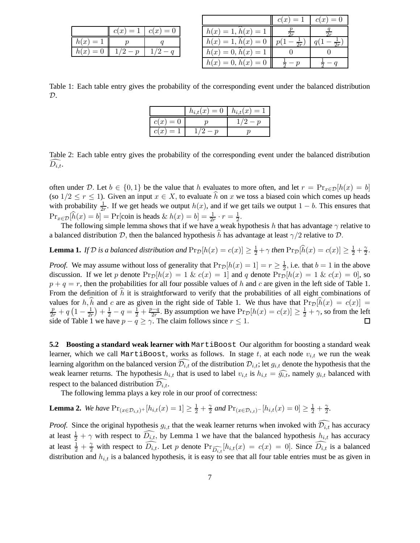|             | $c(x) = 1$ | $c(x)=0$ |
|-------------|------------|----------|
| h(x)<br>$=$ |            |          |
| $h(x)=0$    |            |          |

|                      | $c(x)=1$ | $c(x)=0$ |
|----------------------|----------|----------|
| $h(x) = 1, h(x) = 1$ | 2r       |          |
| $h(x) = 1, h(x) = 0$ |          |          |
| $h(x) = 0, h(x) = 1$ |          |          |
| $h(x) = 0, h(x) = 0$ |          |          |

Table 1: Each table entry gives the probability of the corresponding event under the balanced distribution  $\mathcal{D}$ .

|          | $h_{i,t}(x) = 0 \mid h_{i,t}(x) = 1$ |  |
|----------|--------------------------------------|--|
| $c(x)=0$ |                                      |  |
| $c(x)=1$ |                                      |  |

Table 2: Each table entry gives the probability of the corresponding event under the balanced distribution  $D_{i.t.}$ 

often under D. Let  $b \in \{0,1\}$  be the value that h evaluates to more often, and let  $r = \Pr_{x \in \mathcal{D}}[h(x) = b]$ (so  $1/2 \le r \le 1$ ). Given an input  $x \in X$ , to evaluate  $\hat{h}$  on x we toss a biased coin which comes up heads with probability  $\frac{1}{2r}$ . If we get heads we output  $h(x)$ , and if we get tails we output  $1 - b$ . This ensures that  $\Pr_{x \in \mathcal{D}}[\hat{h}(x) = b] = \Pr[\text{coin is heads} \& h(x) = b] = \frac{1}{2r} \cdot r = \frac{1}{2}$  $\frac{1}{2}$ .

The following simple lemma shows that if we have a weak hypothesis h that has advantage  $\gamma$  relative to a balanced distribution D, then the balanced hypothesis h has advantage at least  $\gamma/2$  relative to D.

**Lemma 1.** If D is a balanced distribution and 
$$
Pr_{D}[h(x) = c(x)] \ge \frac{1}{2} + \gamma
$$
 then  $Pr_{D}[\hat{h}(x) = c(x)] \ge \frac{1}{2} + \frac{\gamma}{2}$ .

*Proof.* We may assume without loss of generality that  $Pr_{\mathcal{D}}[h(x) = 1] = r \geq \frac{1}{2}$  $\frac{1}{2}$ , i.e. that  $b = 1$  in the above discussion. If we let p denote  $Pr_{\mathcal{D}}[h(x) = 1 \& c(x) = 1]$  and q denote  $Pr_{\mathcal{D}}[h(x) = 1 \& c(x) = 0]$ , so  $p + q = r$ , then the probabilities for all four possible values of h and c are given in the left side of Table 1. From the definition of  $\hat{h}$  it is straightforward to verify that the probabilities of all eight combinations of values for h, h and c are as given in the right side of Table 1. We thus have that  $Pr_D[h(x) = c(x)] = \frac{p}{2r} + q(1 - \frac{1}{2r}) + \frac{1}{2} - q = \frac{1}{2} + \frac{p-q}{2r}$ . By assumption we have  $Pr_D[h(x) = c(x)] \ge \frac{1}{2} + \gamma$ , so from the left  $\frac{1}{2r}$  +  $\frac{1}{2}$  -  $q = \frac{1}{2} + \frac{p-q}{2r}$  $\frac{2p-q}{2r}$ . By assumption we have  $\Pr_{\mathcal{D}}[h(x) = c(x)] \ge \frac{1}{2} + \gamma$ , so from the left side of Table 1 we have  $p - q \ge \gamma$ . The claim follows since  $r \le 1$ .

**5.2 Boosting a standard weak learner with** MartiBoost Our algorithm for boosting a standard weak learner, which we call MartiBoost, works as follows. In stage t, at each node  $v_{i,t}$  we run the weak learning algorithm on the balanced version  $\mathcal{D}_{i,t}$  of the distribution  $\mathcal{D}_{i,t}$ ; let  $g_{i,t}$  denote the hypothesis that the weak learner returns. The hypothesis  $h_{i,t}$  that is used to label  $v_{i,t}$  is  $h_{i,t} = \widehat{g_{i,t}}$ , namely  $g_{i,t}$  balanced with respect to the balanced distribution  $\mathcal{D}_{i.t.}$ 

The following lemma plays a key role in our proof of correctness:

**Lemma 2.** We have 
$$
\Pr_{(x \in \mathcal{D}_{i,t})^+}[h_{i,t}(x) = 1] \ge \frac{1}{2} + \frac{\gamma}{2}
$$
 and  $\Pr_{(x \in \mathcal{D}_{i,t})^-}[h_{i,t}(x) = 0] \ge \frac{1}{2} + \frac{\gamma}{2}$ .

*Proof.* Since the original hypothesis  $g_{i,t}$  that the weak learner returns when invoked with  $\widehat{D_{i,t}}$  has accuracy at least  $\frac{1}{2} + \gamma$  with respect to  $\widehat{D_{i,t}}$ , by Lemma 1 we have that the balanced hypothesis  $h_{i,t}$  has accuracy at least  $\frac{1}{2} + \frac{\gamma}{2}$  with respect to  $\widehat{D_{i,t}}$ . Let p denote  $Pr_{\widehat{D_{i,t}}}[h_{i,t}(x) = c(x) = 0]$ . Since  $\widehat{D_{i,t}}$  is a balanced distribution and  $h_{i,t}$  is a balanced hypothesis, it is easy to see that all four table entries must be as given in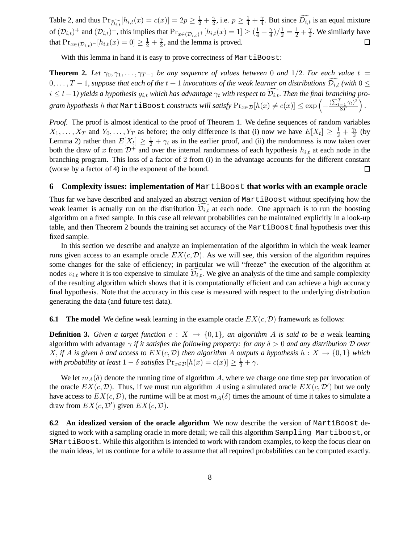Table 2, and thus  $Pr_{\widehat{D_{i,t}}}[h_{i,t}(x) = c(x)] = 2p \ge \frac{1}{2} + \frac{\gamma}{2}$  $\frac{\gamma}{2}$ , i.e.  $p \geq \frac{1}{4} + \frac{\gamma}{4}$  $\frac{\gamma}{4}$ . But since  $D_{i,t}$  is an equal mixture of  $(\mathcal{D}_{i,t})^+$  and  $(\mathcal{D}_{i,t})^-$ , this implies that  $Pr_{x \in (\mathcal{D}_{i,t})^+}[h_{i,t}(x) = 1] \geq (\frac{1}{4} + \frac{\gamma}{4})$  $\frac{\gamma}{4}$ )/ $\frac{1}{2} = \frac{1}{2} + \frac{\gamma}{2}$  $\frac{\gamma}{2}$ . We similarly have that  $Pr_{x \in (\mathcal{D}_{i,t})^{-}}[h_{i,t}(x) = 0] \geq \frac{1}{2} + \frac{\gamma}{2}$  $\frac{\gamma}{2}$ , and the lemma is proved.  $\Box$ 

With this lemma in hand it is easy to prove correctness of MartiBoost:

**Theorem 2.** Let  $\gamma_0, \gamma_1, \ldots, \gamma_{T-1}$  be any sequence of values between 0 and 1/2. For each value  $t =$  $0, \ldots, T-1$ , suppose that each of the  $t+1$  *invocations of the weak learner on distributions*  $\widehat{\mathcal{D}_{i,t}}$  *(with*  $0 \leq$  $i \leq t-1$ ) yields a hypothesis  $g_{i,t}$  which has advantage  $\gamma_t$  with respect to  $\widehat{D_{i,t}}$ . Then the final branching pro $g$ ram hypothesis  $h$  that <code>MartiBoost</code> constructs will satisfy  $\Pr_{x \in \mathcal{D}}[h(x) \neq c(x)] \leq \exp\left(-\frac{(\sum_{t=1}^T \gamma_t)^2}{8T}\right)$ 8T  $\big).$ 

*Proof.* The proof is almost identical to the proof of Theorem 1. We define sequences of random variables  $X_1, \ldots, X_T$  and  $Y_0, \ldots, Y_T$  as before; the only difference is that (i) now we have  $E[X_t] \geq \frac{1}{2} + \frac{\gamma_t}{2}$  $\frac{\gamma_t}{2}$  (by Lemma 2) rather than  $E[X_t] \geq \frac{1}{2} + \gamma_t$  as in the earlier proof, and (ii) the randomness is now taken over both the draw of x from  $\mathcal{D}^+$  and over the internal randomness of each hypothesis  $h_{i,t}$  at each node in the branching program. This loss of a factor of 2 from (i) in the advantage accounts for the different constant (worse by a factor of 4) in the exponent of the bound.  $\Box$ 

#### **6 Complexity issues: implementation of MartiBoost that works with an example oracle**

Thus far we have described and analyzed an abstract version of MartiBoost without specifying how the weak learner is actually run on the distribution  $\mathcal{D}_{i,t}$  at each node. One approach is to run the boosting algorithm on a fixed sample. In this case all relevant probabilities can be maintained explicitly in a look-up table, and then Theorem 2 bounds the training set accuracy of the MartiBoost final hypothesis over this fixed sample.

In this section we describe and analyze an implementation of the algorithm in which the weak learner runs given access to an example oracle  $EX(c, \mathcal{D})$ . As we will see, this version of the algorithm requires some changes for the sake of efficiency; in particular we will "freeze" the execution of the algorithm at nodes  $v_{i,t}$  where it is too expensive to simulate  $\mathcal{D}_{i,t}$ . We give an analysis of the time and sample complexity of the resulting algorithm which shows that it is computationally efficient and can achieve a high accuracy final hypothesis. Note that the accuracy in this case is measured with respect to the underlying distribution generating the data (and future test data).

**6.1 The model** We define weak learning in the example oracle  $EX(c, \mathcal{D})$  framework as follows:

**Definition 3.** *Given a target function*  $c: X \to \{0,1\}$ *, an algorithm A is said to be a* weak learning algorithm with advantage γ *if it satisfies the following property: for any* δ > 0 *and any distribution* D *over*  $X$ , *if* A *is given*  $\delta$  *and access to*  $EX(c, \mathcal{D})$  *then algorithm* A *outputs a hypothesis*  $h: X \to \{0, 1\}$  *which with probability at least*  $1 - \delta$  *satisfies*  $Pr_{x \in \mathcal{D}}[h(x) = c(x)] \geq \frac{1}{2} + \gamma$ .

We let  $m_A(\delta)$  denote the running time of algorithm A, where we charge one time step per invocation of the oracle  $EX(c, \mathcal{D})$ . Thus, if we must run algorithm A using a simulated oracle  $EX(c, \mathcal{D}')$  but we only have access to  $EX(c, \mathcal{D})$ , the runtime will be at most  $m_A(\delta)$  times the amount of time it takes to simulate a draw from  $EX(c, \mathcal{D}')$  given  $EX(c, \mathcal{D})$ .

**6.2** An idealized version of the oracle algorithm We now describe the version of MartiBoost designed to work with a sampling oracle in more detail; we call this algorithm Sampling Martiboost, or SMartiBoost. While this algorithm is intended to work with random examples, to keep the focus clear on the main ideas, let us continue for a while to assume that all required probabilities can be computed exactly.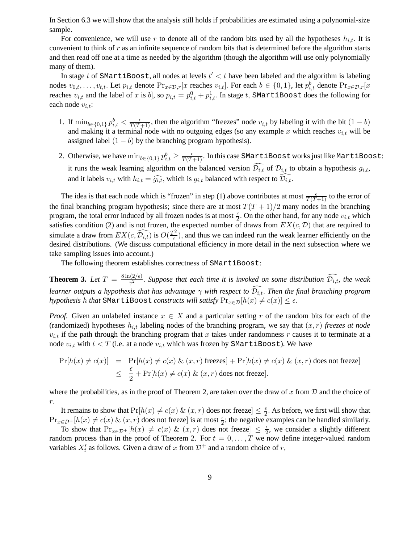In Section 6.3 we will show that the analysis still holds if probabilities are estimated using a polynomial-size sample.

For convenience, we will use r to denote all of the random bits used by all the hypotheses  $h_{i,t}$ . It is convenient to think of r as an infinite sequence of random bits that is determined before the algorithm starts and then read off one at a time as needed by the algorithm (though the algorithm will use only polynomially many of them).

In stage t of SMartiBoost, all nodes at levels  $t' < t$  have been labeled and the algorithm is labeling nodes  $v_{0,t},\ldots,v_{t,t}$ . Let  $p_{i,t}$  denote  $Pr_{x\in\mathcal{D},r}[x]$  reaches  $v_{i,t}$ . For each  $b\in\{0,1\}$ , let  $p_{i,t}^b$  denote  $Pr_{x\in\mathcal{D},r}[x]$ reaches  $v_{i,t}$  and the label of  $x$  is  $b]$ , so  $p_{i,t}=p_{i,t}^0+p_{i,t}^1.$  In stage  $t,$  SMartiBoost does the following for each node  $v_{i,t}$ :

- 1. If  $\min_{b \in \{0,1\}} p_{i,t}^b < \frac{\epsilon}{T(T+1)}$ , then the algorithm "freezes" node  $v_{i,t}$  by labeling it with the bit  $(1-b)$ and making it a terminal node with no outgoing edges (so any example x which reaches  $v_{i,t}$  will be assigned label  $(1 - b)$  by the branching program hypothesis).
- 2. Otherwise, we have  $\min_{b\in\{0,1\}}p_{i,t}^b\geq\frac{\epsilon}{T(T+1)}.$  In this case SMartiBoost works just like MartiBoost: it runs the weak learning algorithm on the balanced version  $\widehat{D_{i,t}}$  of  $\mathcal{D}_{i,t}$  to obtain a hypothesis  $g_{i,t}$ , and it labels  $v_{i,t}$  with  $h_{i,t} = \widehat{g_{i,t}}$ , which is  $g_{i,t}$  balanced with respect to  $\widehat{D_{i,t}}$ .

The idea is that each node which is "frozen" in step (1) above contributes at most  $\frac{\epsilon}{T(T+1)}$  to the error of the final branching program hypothesis; since there are at most  $T(T + 1)/2$  many nodes in the branching program, the total error induced by all frozen nodes is at most  $\frac{\epsilon}{2}$  $\frac{\epsilon}{2}$ . On the other hand, for any node  $v_{i,t}$  which satisfies condition (2) and is not frozen, the expected number of draws from  $EX(c, \mathcal{D})$  that are required to simulate a draw from  $EX(c, \widehat{\mathcal{D}_{i,t}})$  is  $O(\frac{T^2}{\epsilon})$  $\frac{1}{\epsilon}$ ), and thus we can indeed run the weak learner efficiently on the desired distributions. (We discuss computational efficiency in more detail in the next subsection where we take sampling issues into account.)

The following theorem establishes correctness of SMartiBoost:

**Theorem 3.** Let  $T = \frac{8 \ln(2/\epsilon)}{\gamma^2}$  $\frac{\Gamma(2/\epsilon)}{\gamma^2}$ . Suppose that each time it is invoked on some distribution  $\mathcal{D}_{i,t}$ , the weak *learner outputs a hypothesis that has advantage*  $\gamma$  *with respect to*  $\widehat{D_{i,t}}$ . *Then the final branching program hypothesis* h *that* SMartiBoost *constructs will satisfy*  $Pr_{x \in \mathcal{D}}[h(x) \neq c(x)] \leq \epsilon$ .

*Proof.* Given an unlabeled instance  $x \in X$  and a particular setting r of the random bits for each of the (randomized) hypotheses  $h_{i,t}$  labeling nodes of the branching program, we say that  $(x, r)$  *freezes at node*  $v_{i,t}$  if the path through the branching program that x takes under randomness r causes it to terminate at a node  $v_{i,t}$  with  $t < T$  (i.e. at a node  $v_{i,t}$  which was frozen by SMartiBoost). We have

$$
\Pr[h(x) \neq c(x)] = \Pr[h(x) \neq c(x) \& (x, r) \text{ freezes}] + \Pr[h(x) \neq c(x) \& (x, r) \text{ does not freeze}]
$$
  

$$
\leq \frac{\epsilon}{2} + \Pr[h(x) \neq c(x) \& (x, r) \text{ does not freeze}].
$$

where the probabilities, as in the proof of Theorem 2, are taken over the draw of x from  $D$  and the choice of  $r$ .

It remains to show that  $Pr[h(x) \neq c(x) \& (x, r)]$  does not freeze  $\leq \frac{\epsilon}{2}$  $\frac{\epsilon}{2}$ . As before, we first will show that  $Pr_{x \in \mathcal{D}^+}[h(x) \neq c(x) \& (x, r)$  does not freeze] is at most  $\frac{\epsilon}{2}$ ; the negative examples can be handled similarly.

To show that  $Pr_{x \in \mathcal{D}^+}[h(x) \neq c(x) \& (x, r)$  does not freeze $] \leq \frac{\epsilon}{2}$  $\frac{\epsilon}{2}$ , we consider a slightly different random process than in the proof of Theorem 2. For  $t = 0, \ldots, T$  we now define integer-valued random variables  $X'_t$  as follows. Given a draw of x from  $\mathcal{D}^+$  and a random choice of r,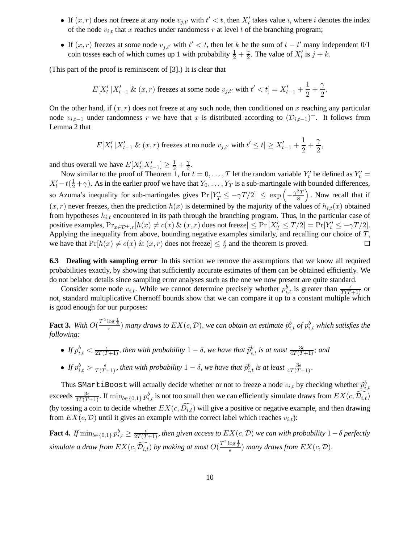- If  $(x, r)$  does not freeze at any node  $v_{j,t'}$  with  $t' < t$ , then  $X'_t$  takes value i, where i denotes the index of the node  $v_{i,t}$  that x reaches under randomess r at level t of the branching program;
- If  $(x, r)$  freezes at some node  $v_{j,t'}$  with  $t' < t$ , then let k be the sum of  $t t'$  many independent  $0/1$ coin tosses each of which comes up 1 with probability  $\frac{1}{2} + \frac{2}{2}$  $\frac{\gamma}{2}$ . The value of  $X'_t$  is  $j + k$ .

(This part of the proof is reminiscent of [3].) It is clear that

$$
E[X'_t \mid X'_{t-1} \& (x,r) \text{ freezes at some node } v_{j,t'} \text{ with } t' < t] = X'_{t-1} + \frac{1}{2} + \frac{\gamma}{2}.
$$

On the other hand, if  $(x, r)$  does not freeze at any such node, then conditioned on x reaching any particular node  $v_{i,t-1}$  under randomness r we have that x is distributed according to  $(\mathcal{D}_{i,t-1})^+$ . It follows from Lemma 2 that

$$
E[X'_t \mid X'_{t-1} \& (x,r) \text{ freezes at no node } v_{j,t'} \text{ with } t' \leq t] \geq X'_{t-1} + \frac{1}{2} + \frac{\gamma}{2},
$$

and thus overall we have  $E[X_t'|X_{t-1}'] \ge \frac{1}{2} + \frac{\gamma}{2}$  $\frac{\gamma}{2}$ .

Now similar to the proof of Theorem 1, for  $t = 0, ..., T$  let the random variable  $Y'_t$  be defined as  $Y'_t =$  $X'_t - t(\frac{1}{2} + \gamma)$ . As in the earlier proof we have that  $Y_0, \ldots, Y_T$  is a sub-martingale with bounded differences, so Azuma's inequality for sub-martingales gives  $Pr[Y'_T \le -\gamma T/2] \le exp\left(-\frac{\gamma^2 T}{8}\right)$  . Now recall that if 8  $(x, r)$  never freezes, then the prediction  $h(x)$  is determined by the majority of the values of  $h_{i,t}(x)$  obtained from hypotheses  $h_{i,t}$  encountered in its path through the branching program. Thus, in the particular case of positive examples,  $Pr_{x \in \mathcal{D}^+, r}[h(x) \neq c(x) \& (x, r)$  does not freeze $] \leq Pr[X'_T \leq T/2] = Pr[Y'_t \leq -\gamma T/2]$ . Applying the inequality from above, bounding negative examples similarly, and recalling our choice of T, we have that  $Pr[h(x) \neq c(x) \& (x, r)$  does not freeze $] \leq \frac{\epsilon}{2}$  and the theorem is proved. □

**6.3 Dealing with sampling error** In this section we remove the assumptions that we know all required probabilities exactly, by showing that sufficiently accurate estimates of them can be obtained efficiently. We do not belabor details since sampling error analyses such as the one we now present are quite standard.

Consider some node  $v_{i,t}$ . While we cannot determine precisely whether  $p_{i,t}^b$  is greater than  $\frac{\epsilon}{T(T+1)}$  or not, standard multiplicative Chernoff bounds show that we can compare it up to a constant multiple which is good enough for our purposes:

Fact 3. With  $O(\frac{T^2\log\frac{1}{\delta}}{\epsilon})$  many draws to  $EX(c,\mathcal{D}),$  we can obtain an estimate  $\tilde{p}_{i,t}^b$  of  $p_{i,t}^b$  which satisfies the *following:*

- If  $p_{i,t}^b < \frac{\epsilon}{2T(T+1)}$ , then with probability  $1-\delta$ , we have that  $\tilde{p}_{i,t}^b$  is at most  $\frac{3\epsilon}{4T(T+1)}$ ; and
- If  $p_{i,t}^b > \frac{\epsilon}{T(T+1)}$ , then with probability  $1-\delta$ , we have that  $\tilde{p}_{i,t}^b$  is at least  $\frac{3\epsilon}{4T(T+1)}$ .

Thus SMartiBoost will actually decide whether or not to freeze a node  $v_{i,t}$  by checking whether  $\tilde{p}^b_{i,t}$ exceeds  $\frac{3\epsilon}{4T(T+1)}$ . If  $\min_{b \in \{0,1\}} p_{i,t}^b$  is not too small then we can efficiently simulate draws from  $EX(c, \widehat{D_{i,t}})$ (by tossing a coin to decide whether  $EX(c, \widehat{D_{i,t}})$  will give a positive or negative example, and then drawing from  $EX(c, D)$  until it gives an example with the correct label which reaches  $v_{i,t}$ ):

Fact 4. If  $\min_{b\in\{0,1\}}p_{i,t}^b\geq\frac{\epsilon}{2T(T+1)}$ , then given access to  $EX(c,\mathcal{D})$  we can with probability  $1-\delta$  perfectly  $s$ *imulate a draw from*  $EX(c,\widehat{\mathcal{D}_{i,t}})$  *by making at most*  $O(\frac{T^2\log\frac{1}{\delta}}{\epsilon})$  *many draws from*  $EX(c,\mathcal{D})$ .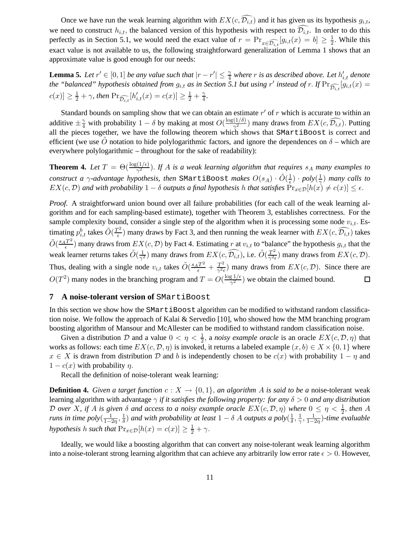Once we have run the weak learning algorithm with  $EX(c, \widehat{\mathcal{D}_{i,t}})$  and it has given us its hypothesis  $g_{i,t}$ , we need to construct  $h_{i,t}$ , the balanced version of this hypothesis with respect to  $\widehat{D_{i,t}}$ . In order to do this perfectly as in Section 5.1, we would need the exact value of  $r = Pr_{x \in \widehat{\mathcal{D}_{i,t}}}[g_{i,t}(x) = b] \ge \frac{1}{2}$  $\frac{1}{2}$ . While this exact value is not available to us, the following straightforward generalization of Lemma 1 shows that an approximate value is good enough for our needs:

**Lemma 5.** Let  $r' \in [0,1]$  be any value such that  $|r - r'| \leq \frac{\gamma}{4}$  where r is as described above. Let  $h'_{i,t}$  denote *the "balanced" hypothesis obtained from*  $g_{i,t}$  *as in Section 5.1 but using*  $r'$  *instead of*  $r$ . If  $Pr_{\widehat{\mathcal{D}_{i,t}}}[g_{i,t}(x)$  =  $|c(x)| \geq \frac{1}{2} + \gamma$ , then  $Pr_{\widehat{\mathcal{D}_{i,t}}}[h'_{i,t}(x) = c(x)] \geq \frac{1}{2} + \frac{\gamma}{4}$  $\frac{\gamma}{4}$ .

Standard bounds on sampling show that we can obtain an estimate  $r'$  of  $r$  which is accurate to within an additive  $\pm \frac{\gamma}{4}$  with probability  $1 - \delta$  by making at most  $O(\frac{\log(1/\delta)}{\gamma^2})$  many draws from  $EX(c, \widehat{\mathcal{D}_{i,t}})$ . Putting all the pieces together, we have the following theorem which shows that SMartiBoost is correct and efficient (we use O notation to hide polylogarithmic factors, and ignore the dependences on  $\delta$  – which are everywhere polylogarithmic – throughout for the sake of readability):

**Theorem 4.** Let  $T = \Theta(\frac{\log(1/\epsilon)}{\gamma^2})$ . If A is a weak learning algorithm that requires  $s_A$  many examples to *construct a*  $\gamma$ *-advantage hypothesis, then* SMartiBoost *makes*  $O(s_A) \cdot \tilde{O}(\frac{1}{\epsilon})$  $\frac{1}{\epsilon})\cdot poly(\frac{1}{\gamma})$  $\frac{1}{\gamma}$ ) *many calls to*  $EX(c, \mathcal{D})$  and with probability  $1 - \delta$  *outputs a final hypothesis* h *that satisfies*  $Pr_{x \in \mathcal{D}}[h(x) \neq c(x)] \leq \epsilon$ .

*Proof.* A straightforward union bound over all failure probabilities (for each call of the weak learning algorithm and for each sampling-based estimate), together with Theorem 3, establishes correctness. For the sample complexity bound, consider a single step of the algorithm when it is processing some node  $v_{i,t}$ . Estimating  $p_{i,t}^b$  takes  $\tilde{O}(\frac{T^2}{\epsilon})$  $\frac{d^2}{dx^2}$ ) many draws by Fact 3, and then running the weak learner with  $EX(c, \mathcal{D}_{i,t})$  takes  $\tilde{O}(\frac{s_A T^2}{\epsilon})$  $\frac{f^{T}}{\epsilon}$ ) many draws from  $EX(c, D)$  by Fact 4. Estimating r at  $v_{i,t}$  to "balance" the hypothesis  $g_{i,t}$  that the  $\frac{1}{\gamma^2}$ ) many draws from  $EX(c, \widehat{\mathcal{D}_{i,t}})$ , i.e.  $\tilde{O}(\frac{T^2}{\gamma^2 t})$ weak learner returns takes  $\tilde{O}(\frac{1}{\gamma^2})$  $\frac{T^2}{\gamma^2 \epsilon}$ ) many draws from  $EX(c, \mathcal{D})$ . Thus, dealing with a single node  $v_{i,t}$  takes  $\tilde{O}\left(\frac{s_A T^2}{\epsilon} + \frac{T^2}{\gamma^2 \epsilon}\right)$  $\frac{T^2}{\gamma^2 \epsilon}$ ) many draws from  $EX(c, \mathcal{D})$ . Since there are  $O(T^2)$  many nodes in the branching program and  $T = O(\frac{\log 1/\epsilon}{\gamma^2})$  $(\frac{g_1}{\gamma^2})$  we obtain the claimed bound.  $\Box$ 

#### **7 A noise-tolerant version of** SMartiBoost

In this section we show how the SMartiBoost algorithm can be modified to withstand random classification noise. We follow the approach of Kalai & Servedio [10], who showed how the MM branching program boosting algorithm of Mansour and McAllester can be modified to withstand random classification noise.

Given a distribution D and a value  $0 < \eta < \frac{1}{2}$ , a *noisy example oracle* is an oracle  $EX(c, \mathcal{D}, \eta)$  that works as follows: each time  $EX(c, \mathcal{D}, \eta)$  is invoked, it returns a labeled example  $(x, b) \in X \times \{0, 1\}$  where  $x \in X$  is drawn from distribution D and b is independently chosen to be  $c(x)$  with probability  $1 - \eta$  and  $1 - c(x)$  with probability  $\eta$ .

Recall the definition of noise-tolerant weak learning:

**Definition 4.** *Given a target function*  $c: X \to \{0, 1\}$ , *an algorithm* A *is said to be a* noise-tolerant weak learning algorithm with advantage γ *if it satisfies the following property: for any* δ > 0 *and any distribution* D *over* X, if A is given  $\delta$  and access to a noisy example oracle  $EX(c, \mathcal{D}, \eta)$  where  $0 \leq \eta < \frac{1}{2}$ , then A *runs in time poly* $\left(\frac{1}{1-t}\right)$  $\frac{1}{1-2\eta},\frac{1}{\delta}$  $\frac{1}{\delta}$ ) and with probability at least  $1 - \delta$  A outputs a poly $(\frac{1}{\delta})$  $\frac{1}{\delta}, \frac{1}{\gamma}$  $\frac{1}{\gamma}, \frac{1}{1-\gamma}$ 1−2η )*-time evaluable hypothesis h such that*  $Pr_{x \in \mathcal{D}}[h(x) = c(x)] \geq \frac{1}{2} + \gamma$ .

Ideally, we would like a boosting algorithm that can convert any noise-tolerant weak learning algorithm into a noise-tolerant strong learning algorithm that can achieve any arbitrarily low error rate  $\epsilon > 0$ . However,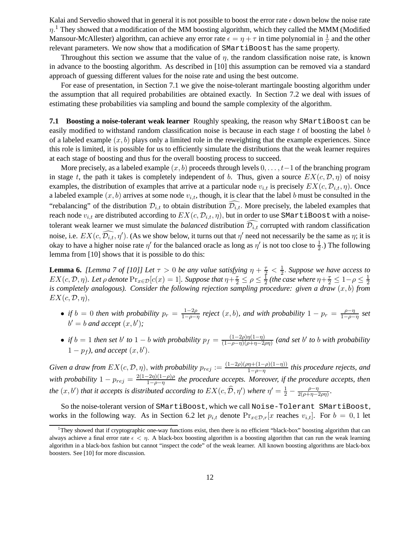Kalai and Servedio showed that in general it is not possible to boost the error rate  $\epsilon$  down below the noise rate  $\eta$ .<sup>1</sup> They showed that a modification of the MM boosting algorithm, which they called the MMM (Modified Mansour-McAllester) algorithm, can achieve any error rate  $\epsilon = \eta + \tau$  in time polynomial in  $\frac{1}{\tau}$  and the other relevant parameters. We now show that a modification of SMartiBoost has the same property.

Throughout this section we assume that the value of  $\eta$ , the random classification noise rate, is known in advance to the boosting algorithm. As described in [10] this assumption can be removed via a standard approach of guessing different values for the noise rate and using the best outcome.

For ease of presentation, in Section 7.1 we give the noise-tolerant martingale boosting algorithm under the assumption that all required probabilities are obtained exactly. In Section 7.2 we deal with issues of estimating these probabilities via sampling and bound the sample complexity of the algorithm.

**7.1 Boosting a noise-tolerant weak learner** Roughly speaking, the reason why SMartiBoost can be easily modified to withstand random classification noise is because in each stage t of boosting the label b of a labeled example  $(x, b)$  plays only a limited role in the reweighting that the example experiences. Since this role is limited, it is possible for us to efficiently simulate the distributions that the weak learner requires at each stage of boosting and thus for the overall boosting process to succeed.

More precisely, as a labeled example  $(x, b)$  proceeds through levels  $0, \ldots, t-1$  of the branching program in stage t, the path it takes is completely independent of b. Thus, given a source  $EX(c, \mathcal{D}, \eta)$  of noisy examples, the distribution of examples that arrive at a particular node  $v_{i,t}$  is precisely  $EX(c, \mathcal{D}_{i,t}, \eta)$ . Once a labeled example  $(x, b)$  arrives at some node  $v_{i,t}$ , though, it is clear that the label b must be consulted in the "rebalancing" of the distribution  $\mathcal{D}_{i,t}$  to obtain distribution  $\mathcal{D}_{i,t}$ . More precisely, the labeled examples that reach node  $v_{i,t}$  are distributed according to  $EX(c, \mathcal{D}_{i,t}, \eta)$ , but in order to use SMartiBoost with a noisetolerant weak learner we must simulate the *balanced* distribution  $\mathcal{D}_{i,t}$  corrupted with random classification noise, i.e.  $EX(c, \widehat{\mathcal{D}_{i,t}}, \eta')$ . (As we show below, it turns out that  $\eta'$  need not necessarily be the same as  $\eta$ ; it is okay to have a higher noise rate  $\eta'$  for the balanced oracle as long as  $\eta'$  is not too close to  $\frac{1}{2}$ .) The following lemma from [10] shows that it is possible to do this:

**Lemma 6.** *[Lemma 7 of [10]] Let*  $\tau > 0$  *be any value satisfying*  $\eta + \frac{\tau}{2} < \frac{1}{2}$  $\frac{1}{2}$ . Suppose we have access to  $EX(c, \mathcal{D}, \eta)$ *. Let*  $\rho$  denote  $\Pr_{x \in \mathcal{D}}[c(x) = 1]$ *. Suppose that*  $\eta + \frac{\tau}{2} \leq \rho \leq \frac{1}{2}$  $\frac{1}{2}$  (the case where  $\eta + \frac{\tau}{2} \leq 1 - \rho \leq \frac{1}{2}$ 2 *is completely analogous). Consider the following rejection sampling procedure: given a draw*  $(x, b)$  *from*  $EX(c, \mathcal{D}, \eta),$ 

- *if*  $b = 0$  *then with probability*  $p_r = \frac{1-2\rho}{1-\rho}$  $\frac{1-2\rho}{1-\rho-\eta}$  reject  $(x, b)$ , and with probability  $1 - p_r = \frac{\rho-\eta}{1-\rho-\eta}$ 1−ρ−η *set*  $b' = b$  *and accept*  $(x, b')$ *;*
- *if*  $b = 1$  *then set*  $b'$  *to*  $1 b$  *with probability*  $p_f = \frac{(1-2\rho)\eta(1-\eta)}{(1-\rho-\eta)(\rho+n-2)}$  $\frac{(1-2\rho)\eta(1-\eta)}{(1-\rho-\eta)(\rho+\eta-2\rho\eta)}$  (and set b' to b with probability  $1 - p_f$ , and accept  $(x, b')$ .

*Given a draw from*  $EX(c, \mathcal{D}, \eta)$ , *with probability*  $p_{rej} := \frac{(1-2\rho)(\rho\eta + (1-\rho)(1-\eta))}{1-\rho-\eta}$  $\frac{n(n+(1-p)(1-\eta))}{1-\rho-\eta}$  this procedure rejects, and *with probability*  $1 - p_{rej} = \frac{2(1-2\eta)(1-\rho)\rho}{1-\rho-\eta}$ 1−ρ−η *the procedure accepts. Moreover, if the procedure accepts, then the*  $(x, b')$  *that it accepts is distributed according to*  $EX(c, \widehat{\mathcal{D}}, \eta')$  *where*  $\eta' = \frac{1}{2} - \frac{\rho - \eta}{2(\rho + \eta - \frac{1}{2})}$  $\frac{\rho-\eta}{2(\rho+\eta-2\rho\eta)}$ .

So the noise-tolerant version of SMartiBoost, which we call Noise-Tolerant SMartiBoost, works in the following way. As in Section 6.2 let  $p_{i,t}$  denote  $Pr_{x \in \mathcal{D},r}[x]$  reaches  $v_{i,t}$ . For  $b = 0,1$  let

<sup>1</sup>They showed that if cryptographic one-way functions exist, then there is no efficient "black-box" boosting algorithm that can always achieve a final error rate  $\epsilon < \eta$ . A black-box boosting algorithm is a boosting algorithm that can run the weak learning algorithm in a black-box fashion but cannot "inspect the code" of the weak learner. All known boosting algorithms are black-box boosters. See [10] for more discussion.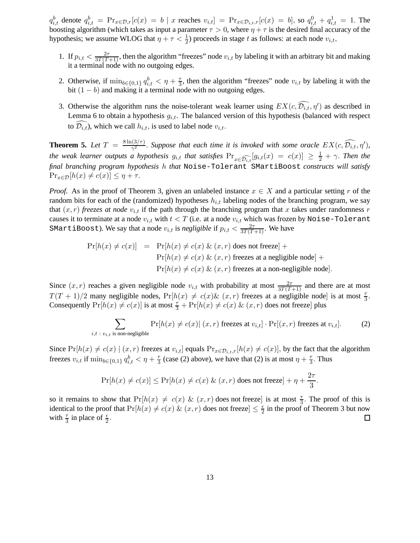$q_{i,t}^b$  denote  $q_{i,t}^b = \Pr_{x \in \mathcal{D},r}[c(x) = b \mid x$  reaches  $v_{i,t}] = \Pr_{x \in \mathcal{D}_{i,t},r}[c(x) = b]$ , so  $q_{i,t}^0 + q_{i,t}^1 = 1$ . The boosting algorithm (which takes as input a parameter  $\tau > 0$ , where  $\eta + \tau$  is the desired final accuracy of the hypothesis; we assume WLOG that  $\eta + \tau < \frac{1}{2}$ ) proceeds in stage t as follows: at each node  $v_{i,t}$ ,

- 1. If  $p_{i,t} < \frac{2\tau}{3T(T+1)}$ , then the algorithm "freezes" node  $v_{i,t}$  by labeling it with an arbitrary bit and making it a terminal node with no outgoing edges.
- 2. Otherwise, if  $\min_{b \in \{0,1\}} q_{i,t}^b < \eta + \frac{\tau}{3}$  $\frac{\tau}{3}$ , then the algorithm "freezes" node  $v_{i,t}$  by labeling it with the bit  $(1 - b)$  and making it a terminal node with no outgoing edges.
- 3. Otherwise the algorithm runs the noise-tolerant weak learner using  $EX(c, \overline{\mathcal{D}_{i,t}}, \eta')$  as described in Lemma 6 to obtain a hypothesis  $g_{i,t}$ . The balanced version of this hypothesis (balanced with respect to  $\widehat{\mathcal{D}_{i,t}}$ , which we call  $h_{i,t}$ , is used to label node  $v_{i,t}$ .

**Theorem 5.** Let  $T = \frac{8 \ln(3/\tau)}{\gamma^2}$  $\frac{\partial f(x)}{\partial y}$ . Suppose that each time it is invoked with some oracle  $EX(c, \widehat{\mathcal{D}_{i,t}}, \eta')$ , *the weak learner outputs a hypothesis*  $g_{i,t}$  *that satisfies*  $\Pr_{x\in \widehat{\mathcal{D}_{i,t}}}[g_{i,t}(x) = c(x)] \geq \frac{1}{2} + \gamma$ . Then the *final branching program hypothesis* h *that* Noise-Tolerant SMartiBoost *constructs will satisfy*  $\Pr_{x \in \mathcal{D}}[h(x) \neq c(x)] \leq \eta + \tau.$ 

*Proof.* As in the proof of Theorem 3, given an unlabeled instance  $x \in X$  and a particular setting r of the random bits for each of the (randomized) hypotheses  $h_{i,t}$  labeling nodes of the branching program, we say that  $(x, r)$  *freezes at node*  $v_{i,t}$  if the path through the branching program that x takes under randomness r causes it to terminate at a node  $v_{i,t}$  with  $t < T$  (i.e. at a node  $v_{i,t}$  which was frozen by Noise-Tolerant SMartiBoost). We say that a node  $v_{i,t}$  is *negligible* if  $p_{i,t} < \frac{2\tau}{3T(T+1)}$ . We have

$$
Pr[h(x) \neq c(x)] = Pr[h(x) \neq c(x) \& (x, r) does not freeze] +
$$
  
\n
$$
Pr[h(x) \neq c(x) \& (x, r) \text{ freezes at a negligible node}] +
$$
  
\n
$$
Pr[h(x) \neq c(x) \& (x, r) \text{ freezes at a non-negligible node}].
$$

Since  $(x, r)$  reaches a given negligible node  $v_{i,t}$  with probability at most  $\frac{2\tau}{3T(T+1)}$  and there are at most  $T(T + 1)/2$  many negligible nodes,  $Pr[h(x) \neq c(x) \& (x, r)$  freezes at a negligible node] is at most  $\frac{\tau}{3}$ . Consequently  $Pr[h(x) \neq c(x)]$  is at most  $\frac{\tau}{3} + Pr[h(x) \neq c(x) \& (x, r)$  does not freeze] plus

$$
\sum_{i,t \; : \; v_{i,t} \text{ is non-negligible}} \Pr[h(x) \neq c(x) | (x,r) \text{ freezes at } v_{i,t}] \cdot \Pr[(x,r) \text{ freezes at } v_{i,t}]. \tag{2}
$$

Since  $Pr[h(x) \neq c(x) | (x, r)$  freezes at  $v_{i,t}$ ] equals  $Pr_{x \in \mathcal{D}_{i,t},r}[h(x) \neq c(x)]$ , by the fact that the algorithm freezes  $v_{i,t}$  if  $\min_{b \in \{0,1\}} q_{i,t}^b < \eta + \frac{\tau}{3}$  $\frac{\tau}{3}$  (case (2) above), we have that (2) is at most  $\eta + \frac{\tau}{3}$  $\frac{\tau}{3}$ . Thus

$$
\Pr[h(x) \neq c(x)] \leq \Pr[h(x) \neq c(x) \& (x, r) \text{ does not freeze}] + \eta + \frac{2\tau}{3}.
$$

so it remains to show that  $Pr[h(x) \neq c(x) \& (x, r)$  does not freeze] is at most  $\frac{\tau}{3}$ . The proof of this is identical to the proof that  $Pr[h(x) \neq c(x) \& (x, r)]$  does not freeze $\leq \frac{\epsilon}{2}$  $\frac{\epsilon}{2}$  in the proof of Theorem 3 but now with  $\frac{\tau}{3}$  in place of  $\frac{\epsilon}{2}$ .  $\Box$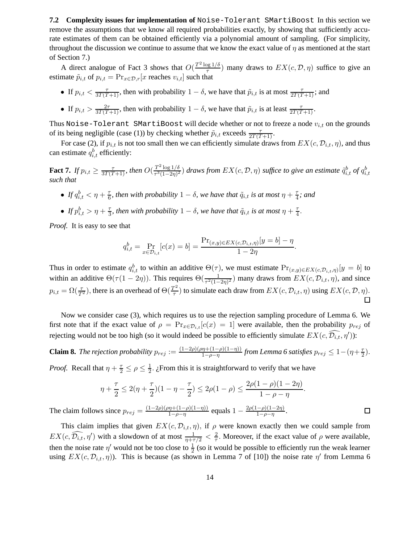**7.2 Complexity issues for implementation of** Noise-Tolerant SMartiBoost In this section we remove the assumptions that we know all required probabilities exactly, by showing that sufficiently accurate estimates of them can be obtained efficiently via a polynomial amount of sampling. (For simplicity, throughout the discussion we continue to assume that we know the exact value of  $\eta$  as mentioned at the start of Section 7.)

A direct analogue of Fact 3 shows that  $O(\frac{T^2 \log 1/\delta}{\tau})$  $\frac{\log 1/\delta}{\tau}$ ) many draws to  $EX(c, \mathcal{D}, \eta)$  suffice to give an estimate  $\tilde{p}_{i,t}$  of  $p_{i,t} = \Pr_{x \in \mathcal{D},r}[x]$  reaches  $v_{i,t}$  such that

- If  $p_{i,t} < \frac{\tau}{3T(T+1)}$ , then with probability  $1 \delta$ , we have that  $\tilde{p}_{i,t}$  is at most  $\frac{\tau}{2T(T+1)}$ ; and
- If  $p_{i,t} > \frac{2\tau}{3T(T+1)}$ , then with probability  $1 \delta$ , we have that  $\tilde{p}_{i,t}$  is at least  $\frac{\tau}{2T(T+1)}$ .

Thus Noise-Tolerant SMartiBoost will decide whether or not to freeze a node  $v_{i,t}$  on the grounds of its being negligible (case (1)) by checking whether  $\tilde{p}_{i,t}$  exceeds  $\frac{\tau}{2T(T+1)}$ .

For case (2), if  $p_{i,t}$  is not too small then we can efficiently simulate draws from  $EX(c, \mathcal{D}_{i,t}, \eta)$ , and thus can estimate  $q_{i,t}^b$  efficiently:

**Fact 7.** If  $p_{i,t} \ge \frac{\tau}{3T(T+1)}$ , then  $O(\frac{T^2 \log 1/\delta}{\tau^3 (1-2\eta)^2})$  $\frac{T^2 \log 1/\delta}{T^3(1-2\eta)^2}$  *draws from*  $EX(c, \mathcal{D}, \eta)$  *suffice to give an estimate*  $\tilde{q}_{i,t}^b$  *of*  $q_{i,t}^b$ *such that*

- $\bullet$  *If*  $q_{i,t}^b < \eta + \frac{\tau}{6}$  $\frac{\tau}{6}$ , then with probability  $1-\delta$ , we have that  $\tilde{q}_{i,t}$  is at most  $\eta+\frac{\tau}{4}$  $\frac{\tau}{4}$ ; and
- $\bullet$  *If*  $p_{i,t}^b > \eta + \frac{\tau}{3}$  $\frac{\tau}{3}$ *, then with probability*  $1-\delta$ *, we have that*  $\tilde{q}_{i,t}$  *is at most*  $\eta + \frac{\tau}{4}$  $\frac{\tau}{4}$ .

*Proof.* It is easy to see that

$$
q_{i,t}^b = \Pr_{x \in \mathcal{D}_{i,t}}[c(x) = b] = \frac{\Pr_{(x,y) \in EX(c, \mathcal{D}_{i,t}, \eta)}[y = b] - \eta}{1 - 2\eta}
$$

.

 $\Box$ 

Thus in order to estimate  $q_{i,t}^b$  to within an additive  $\Theta(\tau)$ , we must estimate  $Pr_{(x,y)\in EX(c,\mathcal{D}_{i,t},\eta)}[y=b]$  to within an additive  $\Theta(\tau(1-2\eta))$ . This requires  $\Theta(\frac{1}{\tau^2(1-2\eta)^2})$  many draws from  $EX(c, \mathcal{D}_{i,t}, \eta)$ , and since  $p_{i,t} = \Omega(\frac{\tau}{T^2})$ , there is an overhead of  $\Theta(\frac{T^2}{\tau})$  $\frac{f(z)}{\tau}$ ) to simulate each draw from  $EX(c, \mathcal{D}_{i,t}, \eta)$  using  $EX(c, \mathcal{D}, \eta)$ .  $\Box$ 

Now we consider case (3), which requires us to use the rejection sampling procedure of Lemma 6. We first note that if the exact value of  $\rho = \Pr_{x \in \mathcal{D}_{i,t}}[c(x) = 1]$  were available, then the probability  $p_{rej}$  of rejecting would not be too high (so it would indeed be possible to efficiently simulate  $EX(c, \widehat{\mathcal{D}_{i,t}}, \eta')$ ):

**Claim 8.** *The rejection probability*  $p_{rej} := \frac{(1-2\rho)(\rho\eta + (1-\rho)(1-\eta))}{1-\rho-\eta}$  $\frac{\eta \eta + (1 - \rho)(1 - \eta))}{1 - \rho - \eta}$  from Lemma 6 satisfies  $p_{rej} \leq 1 - (\eta + \frac{\tau}{2})$  $\frac{\tau}{2}).$ 

*Proof.* Recall that  $\eta + \frac{\tau}{2} \le \rho \le \frac{1}{2}$  $\frac{1}{2}$ . ¿From this it is straightforward to verify that we have

$$
\eta + \frac{\tau}{2} \le 2(\eta + \frac{\tau}{2})(1 - \eta - \frac{\tau}{2}) \le 2\rho(1 - \rho) \le \frac{2\rho(1 - \rho)(1 - 2\eta)}{1 - \rho - \eta}.
$$

The claim follows since  $p_{rej} = \frac{(1-2\rho)(\rho \eta + (1-\rho)(1-\eta))}{1-\rho - \eta}$  $\frac{\eta + (1-\rho)(1-\eta)}{1-\rho-\eta}$  equals  $1 - \frac{2\rho(1-\rho)(1-2\eta)}{1-\rho-\eta}$  $\frac{-\rho(1-2\eta)}{1-\rho-\eta}.$ 

This claim implies that given  $EX(c, \mathcal{D}_{i,t}, \eta)$ , if  $\rho$  were known exactly then we could sample from  $EX(c, \widehat{\mathcal{D}_{i,t}}, \eta')$  with a slowdown of at most  $\frac{1}{\eta + \tau/2} < \frac{2}{\tau}$  $\frac{2}{\tau}$ . Moreover, if the exact value of  $\rho$  were available, then the noise rate  $\eta'$  would not be too close to  $\frac{1}{2}$  (so it would be possible to efficiently run the weak learner using  $EX(c, \mathcal{D}_{i,t}, \eta)$ ). This is because (as shown in Lemma 7 of [10]) the noise rate  $\eta'$  from Lemma 6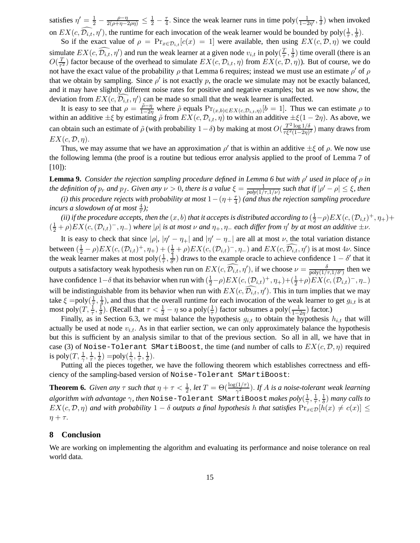satisfies  $\eta' = \frac{1}{2} - \frac{\rho - \eta}{2(\rho + \eta - 2\rho\eta)} \leq \frac{1}{2} - \frac{\tau}{4}$ . Since the weak learner runs in time poly $(\frac{1}{1-\frac{\tau}{2}})$  $\frac{1}{1-2\eta'}$ ,  $\frac{1}{\delta}$  $\frac{1}{\delta}$ ) when invoked on  $EX(c, \widehat{\mathcal{D}_{i,t}}, \eta')$ , the runtime for each invocation of the weak learner would be bounded by poly $(\frac{1}{\tau})$  $\frac{1}{\tau}$ ,  $\frac{1}{\delta}$  $\frac{1}{\delta}$ ).

So if the exact value of  $\rho = \Pr_{x \in \mathcal{D}_{i,t}} [c(x) = 1]$  were available, then using  $EX(c, \mathcal{D}, \eta)$  we could simulate  $EX(c, \widehat{D_{i,t}}, \eta')$  and run the weak learner at a given node  $v_{i,t}$  in poly $(\frac{T}{\tau})$  $\frac{T}{\tau}, \frac{1}{\delta}$  $\frac{1}{\delta}$ ) time overall (there is an  $O(\frac{T}{\tau^2})$  $\frac{T}{\tau^2}$ ) factor because of the overhead to simulate  $EX(c, \mathcal{D}_{i,t}, \eta)$  from  $EX(c, \mathcal{D}, \eta)$ ). But of course, we do not have the exact value of the probability  $\rho$  that Lemma 6 requires; instead we must use an estimate  $\rho'$  of  $\rho$ that we obtain by sampling. Since  $\rho'$  is not exactly p, the oracle we simulate may not be exactly balanced, and it may have slightly different noise rates for positive and negative examples; but as we now show, the deviation from  $EX(c, \widehat{\mathcal{D}_{i,t}}, \eta')$  can be made so small that the weak learner is unaffected.

It is easy to see that  $\rho = \frac{\tilde{\rho} - \eta}{1 - 2\eta}$  $\frac{\rho-\eta}{1-2\eta}$  where  $\tilde{\rho}$  equals  $Pr_{(x,b)\in EX(c,\mathcal{D}_{i,t},\eta)}[b=1]$ . Thus we can estimate  $\rho$  to within an additive  $\pm \xi$  by estimating  $\tilde{\rho}$  from  $EX(c, \mathcal{D}_{i,t}, \eta)$  to within an additive  $\pm \xi(1-2\eta)$ . As above, we can obtain such an estimate of  $\tilde{\rho}$  (with probability  $1-\delta$ ) by making at most  $O(\frac{T^2 \log 1/\delta}{\tau \epsilon^2 (1-2n)}$  $\frac{1-\log 1/\delta}{\tau \xi^2 (1-2\eta)^2}$ ) many draws from  $EX(c, \mathcal{D}, \eta).$ 

Thus, we may assume that we have an approximation  $\rho'$  that is within an additive  $\pm \xi$  of  $\rho$ . We now use the following lemma (the proof is a routine but tedious error analysis applied to the proof of Lemma 7 of [10]):

**Lemma 9.** *Consider the rejection sampling procedure defined in Lemma 6 but with* ρ ′ *used in place of* ρ *in the definition of*  $p_r$  *and*  $p_f$ *. Given any*  $\nu > 0$ , there is a value  $\xi = \frac{1}{\text{poly}(1/r)}$  $\frac{1}{poly(1/\tau,1/\nu)}$  such that if  $|\rho'-\rho|\leq \xi$ , then

*(i) this procedure rejects with probability at most*  $1-(\eta+\frac{\tau}{4})$  $\frac{\tau}{4})$  (and thus the rejection sampling procedure *incurs a slowdown of at most*  $\frac{4}{\tau}$ *)*;

(ii) if the procedure accepts, then the  $(x, b)$  that it accepts is distributed according to  $(\frac{1}{2} - \rho) EX(c, (\mathcal{D}_{i,t})^+, \eta_+)$ +  $(\frac{1}{2} + \rho) EX(c, (\mathcal{D}_{i,t})^{-}, \eta_-)$  *where* | $\rho$ | *is at most*  $\nu$  *and*  $\eta_+, \eta_-$  *each differ from*  $\eta'$  *by at most an additive*  $\pm \nu$ .

It is easy to check that since  $|\rho|$ ,  $|\eta' - \eta_+|$  and  $|\eta' - \eta_-|$  are all at most  $\nu$ , the total variation distance between  $(\frac{1}{2} - \rho) EX(c, (\mathcal{D}_{i,t})^+, \eta_+) + (\frac{1}{2} + \rho) EX(c, (\mathcal{D}_{i,t})^-, \eta_-)$  and  $EX(c, \widehat{\mathcal{D}_{i,t}}, \eta')$  is at most  $4\nu$ . Since the weak learner makes at most poly $(\frac{1}{\tau})$  $\frac{1}{\tau}, \frac{\overline{1}}{\delta'}$  $\frac{1}{\delta'}$ ) draws to the example oracle to achieve confidence  $1 - \delta'$  that it outputs a satisfactory weak hypothesis when run on  $EX(c, \widehat{D_{i,t}}, \eta')$ , if we choose  $\nu = \frac{\delta}{\text{poly}(1/\tau, 1/\delta')}$  then we have confidence  $1-\delta$  that its behavior when run with  $(\frac{1}{2}-\rho)EX(c,(\mathcal{D}_{i,t})^+,\eta_+)+(\frac{1}{2}+\rho)EX(c,(\mathcal{D}_{i,t})^-,\eta_-)$ will be indistinguishable from its behavior when run with  $EX(c, \overline{\mathcal{D}_{i,t}}, \eta')$ . This in turn implies that we may take  $\xi = \text{poly}(\frac{1}{\tau})$  $\frac{1}{\tau}, \frac{1}{\delta}$  $\frac{1}{\delta}$ ), and thus that the overall runtime for each invocation of the weak learner to get  $g_{i,t}$  is at most poly $(T, \frac{1}{\tau}, \frac{1}{\delta})$  $\frac{1}{\delta}$ ). (Recall that  $\tau < \frac{1}{2} - \eta$  so a poly $(\frac{1}{\tau})$  $\frac{1}{\tau}$ ) factor subsumes a poly $(\frac{1}{1-\tau})$  $\frac{1}{1-2\eta}$ ) factor.)

Finally, as in Section 6.3, we must balance the hypothesis  $g_{i,t}$  to obtain the hypothesis  $h_{i,t}$  that will actually be used at node  $v_{i,t}$ . As in that earlier section, we can only approximately balance the hypothesis but this is sufficient by an analysis similar to that of the previous section. So all in all, we have that in case (3) of Noise-Tolerant SMartiBoost, the time (and number of calls to  $EX(c, \mathcal{D}, \eta)$  required is poly $(T, \frac{1}{\gamma}, \frac{1}{\tau})$  $\frac{1}{\tau}$ ,  $\frac{1}{\delta}$  $\frac{1}{\delta}) = \text{poly}(\frac{1}{\gamma})$  $\frac{1}{\gamma}, \frac{1}{\tau}$  $\frac{1}{\tau}$ ,  $\frac{1}{\delta}$  $\frac{1}{\delta}$ ).

Putting all the pieces together, we have the following theorem which establishes correctness and efficiency of the sampling-based version of Noise-Tolerant SMartiBoost:

**Theorem 6.** *Given any*  $\tau$  *such that*  $\eta + \tau < \frac{1}{2}$ *, let*  $T = \Theta(\frac{\log(1/\tau)}{\gamma^2})$ *. If A is a noise-tolerant weak learning algorithm with advantage* γ*, then* Noise-Tolerant SMartiBoost *makes poly*( 1  $\frac{1}{\gamma}, \frac{1}{\tau}$  $\frac{1}{\tau}, \frac{1}{\delta}$  $\frac{1}{\delta}$ ) *many calls to*  $EX(c, \mathcal{D}, \eta)$  and with probability  $1 - \delta$  *outputs a final hypothesis* h *that satisfies*  $Pr_{x \in \mathcal{D}}[h(x) \neq c(x)] \leq$  $\eta + \tau$ .

# **8 Conclusion**

We are working on implementing the algorithm and evaluating its performance and noise tolerance on real world data.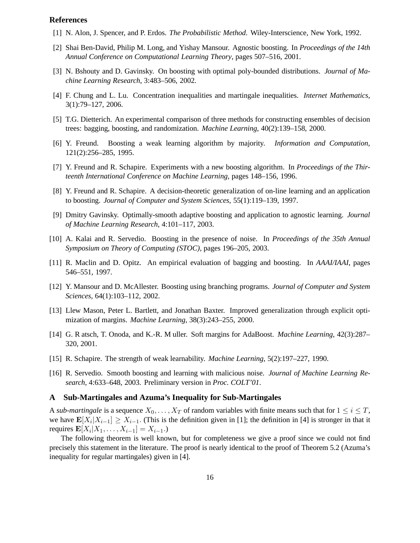# **References**

- [1] N. Alon, J. Spencer, and P. Erdos. *The Probabilistic Method*. Wiley-Interscience, New York, 1992.
- [2] Shai Ben-David, Philip M. Long, and Yishay Mansour. Agnostic boosting. In *Proceedings of the 14th Annual Conference on Computational Learning Theory*, pages 507–516, 2001.
- [3] N. Bshouty and D. Gavinsky. On boosting with optimal poly-bounded distributions. *Journal of Machine Learning Research*, 3:483–506, 2002.
- [4] F. Chung and L. Lu. Concentration inequalities and martingale inequalities. *Internet Mathematics*, 3(1):79–127, 2006.
- [5] T.G. Dietterich. An experimental comparison of three methods for constructing ensembles of decision trees: bagging, boosting, and randomization. *Machine Learning*, 40(2):139–158, 2000.
- [6] Y. Freund. Boosting a weak learning algorithm by majority. *Information and Computation*, 121(2):256–285, 1995.
- [7] Y. Freund and R. Schapire. Experiments with a new boosting algorithm. In *Proceedings of the Thirteenth International Conference on Machine Learning*, pages 148–156, 1996.
- [8] Y. Freund and R. Schapire. A decision-theoretic generalization of on-line learning and an application to boosting. *Journal of Computer and System Sciences*, 55(1):119–139, 1997.
- [9] Dmitry Gavinsky. Optimally-smooth adaptive boosting and application to agnostic learning. *Journal of Machine Learning Research*, 4:101–117, 2003.
- [10] A. Kalai and R. Servedio. Boosting in the presence of noise. In *Proceedings of the 35th Annual Symposium on Theory of Computing (STOC)*, pages 196–205, 2003.
- [11] R. Maclin and D. Opitz. An empirical evaluation of bagging and boosting. In *AAAI/IAAI*, pages 546–551, 1997.
- [12] Y. Mansour and D. McAllester. Boosting using branching programs. *Journal of Computer and System Sciences*, 64(1):103–112, 2002.
- [13] Llew Mason, Peter L. Bartlett, and Jonathan Baxter. Improved generalization through explicit optimization of margins. *Machine Learning*, 38(3):243–255, 2000.
- [14] G. R atsch, T. Onoda, and K.-R. M uller. Soft margins for AdaBoost. *Machine Learning*, 42(3):287– 320, 2001.
- [15] R. Schapire. The strength of weak learnability. *Machine Learning*, 5(2):197–227, 1990.
- [16] R. Servedio. Smooth boosting and learning with malicious noise. *Journal of Machine Learning Research*, 4:633–648, 2003. Preliminary version in *Proc. COLT'01*.

#### **A Sub-Martingales and Azuma's Inequality for Sub-Martingales**

A *sub-martingale* is a sequence  $X_0, \ldots, X_T$  of random variables with finite means such that for  $1 \leq i \leq T$ , we have  $\mathbf{E}[X_i | X_{i-1}] \geq X_{i-1}$ . (This is the definition given in [1]; the definition in [4] is stronger in that it requires  $\mathbf{E}[X_i | X_1, \dots, X_{i-1}] = X_{i-1}$ .

The following theorem is well known, but for completeness we give a proof since we could not find precisely this statement in the literature. The proof is nearly identical to the proof of Theorem 5.2 (Azuma's inequality for regular martingales) given in [4].